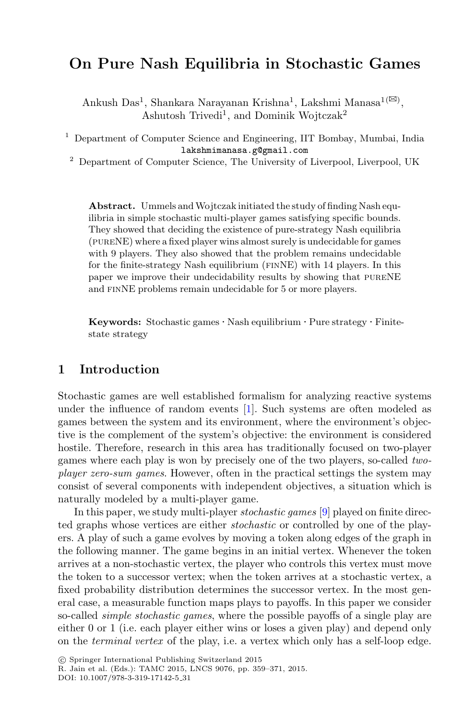## **On Pure Nash Equilibria in Stochastic Games**

Ankush Das $^1,$ Shankara Narayanan Krishna $^1,$  Lakshmi Manasa $^{1(\boxtimes)},$ Ashutosh Trivedi<sup>1</sup>, and Dominik Wojtczak<sup>2</sup>

<sup>1</sup> Department of Computer Science and Engineering, IIT Bombay, Mumbai, India lakshmimanasa.g@gmail.com <sup>2</sup> Department of Computer Science, The University of Liverpool, Liverpool, UK

Abstract. Ummels and Wojtczak initiated the study of finding Nash equilibria in simple stochastic multi-player games satisfying specific bounds. They showed that deciding the existence of pure-strategy Nash equilibria (pureNE) where a fixed player wins almost surely is undecidable for games with 9 players. They also showed that the problem remains undecidable for the finite-strategy Nash equilibrium (FINNE) with 14 players. In this paper we improve their undecidability results by showing that pureNE and finNE problems remain undecidable for 5 or more players.

**Keywords:** Stochastic games · Nash equilibrium · Pure strategy · Finitestate strategy

### **1 Introduction**

Stochastic games are well established formalism for analyzing reactive systems under the influence of random events [\[1\]](#page-11-0). Such systems are often modeled as games between the system and its environment, where the environment's objective is the complement of the system's objective: the environment is considered hostile. Therefore, research in this area has traditionally focused on two-player games where each play is won by precisely one of the two players, so-called *twoplayer zero-sum games*. However, often in the practical settings the system may consist of several components with independent objectives, a situation which is naturally modeled by a multi-player game.

In this paper, we study multi-player *stochastic games* [\[9](#page-12-0)] played on finite directed graphs whose vertices are either *stochastic* or controlled by one of the players. A play of such a game evolves by moving a token along edges of the graph in the following manner. The game begins in an initial vertex. Whenever the token arrives at a non-stochastic vertex, the player who controls this vertex must move the token to a successor vertex; when the token arrives at a stochastic vertex, a fixed probability distribution determines the successor vertex. In the most general case, a measurable function maps plays to payoffs. In this paper we consider so-called *simple stochastic games*, where the possible payoffs of a single play are either 0 or 1 (i.e. each player either wins or loses a given play) and depend only on the *terminal vertex* of the play, i.e. a vertex which only has a self-loop edge.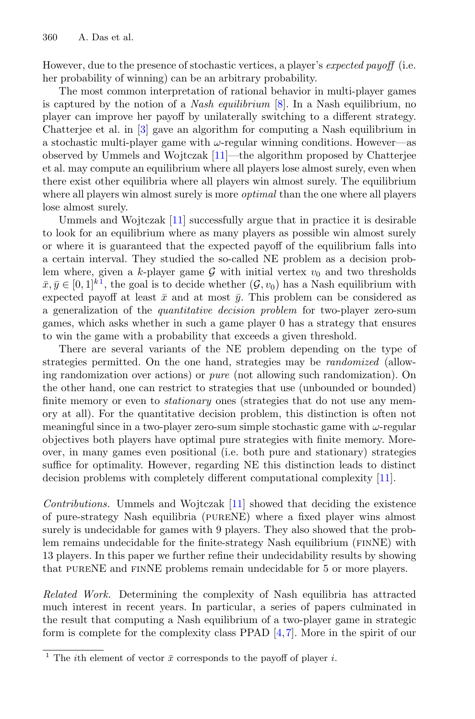However, due to the presence of stochastic vertices, a player's *expected payoff* (i.e. her probability of winning) can be an arbitrary probability.

The most common interpretation of rational behavior in multi-player games is captured by the notion of a *Nash equilibrium* [\[8\]](#page-12-1). In a Nash equilibrium, no player can improve her payoff by unilaterally switching to a different strategy. Chatterjee et al. in [\[3\]](#page-11-1) gave an algorithm for computing a Nash equilibrium in a stochastic multi-player game with  $\omega$ -regular winning conditions. However—as observed by Ummels and Wojtczak [\[11\]](#page-12-2)—the algorithm proposed by Chatterjee et al. may compute an equilibrium where all players lose almost surely, even when there exist other equilibria where all players win almost surely. The equilibrium where all players win almost surely is more *optimal* than the one where all players lose almost surely.

Ummels and Wojtczak [\[11](#page-12-2)] successfully argue that in practice it is desirable to look for an equilibrium where as many players as possible win almost surely or where it is guaranteed that the expected payoff of the equilibrium falls into a certain interval. They studied the so-called NE problem as a decision problem where, given a k-player game G with initial vertex  $v_0$  and two thresholds  $\bar{x}, \bar{y} \in [0, 1]^{k_1}$  $\bar{x}, \bar{y} \in [0, 1]^{k_1}$  $\bar{x}, \bar{y} \in [0, 1]^{k_1}$ , the goal is to decide whether  $(\mathcal{G}, v_0)$  has a Nash equilibrium with expected payoff at least  $\bar{x}$  and at most  $\bar{y}$ . This problem can be considered as a generalization of the *quantitative decision problem* for two-player zero-sum games, which asks whether in such a game player 0 has a strategy that ensures to win the game with a probability that exceeds a given threshold.

There are several variants of the NE problem depending on the type of strategies permitted. On the one hand, strategies may be *randomized* (allowing randomization over actions) or *pure* (not allowing such randomization). On the other hand, one can restrict to strategies that use (unbounded or bounded) finite memory or even to *stationary* ones (strategies that do not use any memory at all). For the quantitative decision problem, this distinction is often not meaningful since in a two-player zero-sum simple stochastic game with  $\omega$ -regular objectives both players have optimal pure strategies with finite memory. Moreover, in many games even positional (i.e. both pure and stationary) strategies suffice for optimality. However, regarding NE this distinction leads to distinct decision problems with completely different computational complexity [\[11](#page-12-2)].

*Contributions.* Ummels and Wojtczak [\[11](#page-12-2)] showed that deciding the existence of pure-strategy Nash equilibria (pureNE) where a fixed player wins almost surely is undecidable for games with 9 players. They also showed that the problem remains undecidable for the finite-strategy Nash equilibrium (finNE) with 13 players. In this paper we further refine their undecidability results by showing that pureNE and finNE problems remain undecidable for 5 or more players.

*Related Work.* Determining the complexity of Nash equilibria has attracted much interest in recent years. In particular, a series of papers culminated in the result that computing a Nash equilibrium of a two-player game in strategic form is complete for the complexity class PPAD  $[4,7]$  $[4,7]$ . More in the spirit of our

<span id="page-1-0"></span><sup>&</sup>lt;sup>1</sup> The *i*th element of vector  $\bar{x}$  corresponds to the payoff of player *i*.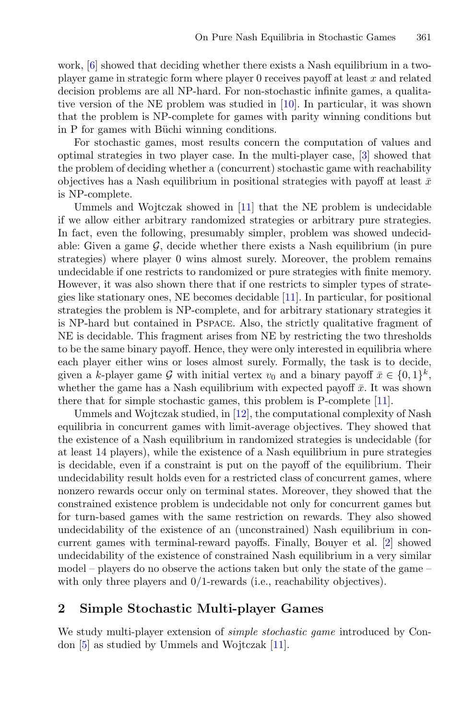work, [\[6\]](#page-11-4) showed that deciding whether there exists a Nash equilibrium in a twoplayer game in strategic form where player  $0$  receives payoff at least  $x$  and related decision problems are all NP-hard. For non-stochastic infinite games, a qualitative version of the NE problem was studied in [\[10](#page-12-3)]. In particular, it was shown that the problem is NP-complete for games with parity winning conditions but in P for games with Büchi winning conditions.

For stochastic games, most results concern the computation of values and optimal strategies in two player case. In the multi-player case, [\[3\]](#page-11-1) showed that the problem of deciding whether a (concurrent) stochastic game with reachability objectives has a Nash equilibrium in positional strategies with payoff at least  $\bar{x}$ is NP-complete.

Ummels and Wojtczak showed in [\[11\]](#page-12-2) that the NE problem is undecidable if we allow either arbitrary randomized strategies or arbitrary pure strategies. In fact, even the following, presumably simpler, problem was showed undecidable: Given a game  $\mathcal{G}$ , decide whether there exists a Nash equilibrium (in pure strategies) where player 0 wins almost surely. Moreover, the problem remains undecidable if one restricts to randomized or pure strategies with finite memory. However, it was also shown there that if one restricts to simpler types of strategies like stationary ones, NE becomes decidable [\[11\]](#page-12-2). In particular, for positional strategies the problem is NP-complete, and for arbitrary stationary strategies it is NP-hard but contained in Pspace. Also, the strictly qualitative fragment of NE is decidable. This fragment arises from NE by restricting the two thresholds to be the same binary payoff. Hence, they were only interested in equilibria where each player either wins or loses almost surely. Formally, the task is to decide, given a k-player game G with initial vertex  $v_0$  and a binary payoff  $\bar{x} \in \{0,1\}^k$ , whether the game has a Nash equilibrium with expected payoff  $\bar{x}$ . It was shown there that for simple stochastic games, this problem is P-complete [\[11\]](#page-12-2).

Ummels and Wojtczak studied, in [\[12](#page-12-4)], the computational complexity of Nash equilibria in concurrent games with limit-average objectives. They showed that the existence of a Nash equilibrium in randomized strategies is undecidable (for at least 14 players), while the existence of a Nash equilibrium in pure strategies is decidable, even if a constraint is put on the payoff of the equilibrium. Their undecidability result holds even for a restricted class of concurrent games, where nonzero rewards occur only on terminal states. Moreover, they showed that the constrained existence problem is undecidable not only for concurrent games but for turn-based games with the same restriction on rewards. They also showed undecidability of the existence of an (unconstrained) Nash equilibrium in concurrent games with terminal-reward payoffs. Finally, Bouyer et al. [\[2](#page-11-5)] showed undecidability of the existence of constrained Nash equilibrium in a very similar model – players do no observe the actions taken but only the state of the game – with only three players and  $0/1$ -rewards (i.e., reachability objectives).

### **2 Simple Stochastic Multi-player Games**

We study multi-player extension of *simple stochastic game* introduced by Condon [\[5\]](#page-11-6) as studied by Ummels and Wojtczak [\[11\]](#page-12-2).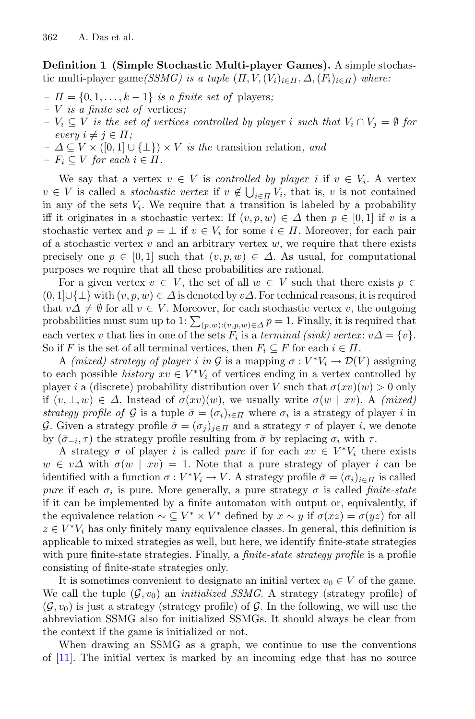**Definition 1 (Simple Stochastic Multi-player Games).** A simple stochastic multi-player game*(SSMG) is a tuple*  $(\Pi, V, (V_i)_{i \in \Pi}, \Delta, (F_i)_{i \in \Pi})$  where:

- $-I = \{0, 1, \ldots, k-1\}$  *is a finite set of* players*;*
- *–* V *is a finite set of* vertices*;*
- *–*  $V_i$  ⊆ V *is the set of vertices controlled by player i such that*  $V_i \cap V_j = ∅$  *for*  $every \ i \neq j \in \Pi;$
- *–* Δ ⊆ V × ([0, 1] ∪ {⊥}) × V *is the* transition relation*, and*
- $-F_i \subseteq V$  *for each*  $i \in \Pi$ .

We say that a vertex  $v \in V$  is *controlled by player* i if  $v \in V_i$ . A vertex  $v \in V$  is called a *stochastic vertex* if  $v \notin \bigcup_{i \in \Pi} V_i$ , that is, v is not contained in any of the sets  $V_i$ . We require that a transition is labeled by a probability iff it originates in a stochastic vertex: If  $(v, p, w) \in \Delta$  then  $p \in [0, 1]$  if v is a stochastic vertex and  $p = \perp$  if  $v \in V_i$  for some  $i \in \Pi$ . Moreover, for each pair of a stochastic vertex  $v$  and an arbitrary vertex  $w$ , we require that there exists precisely one  $p \in [0, 1]$  such that  $(v, p, w) \in \Delta$ . As usual, for computational purposes we require that all these probabilities are rational.

For a given vertex  $v \in V$ , the set of all  $w \in V$  such that there exists  $p \in V$  $(0,1] \cup \{\perp\}$  with  $(v, p, w) \in \Delta$  is denoted by  $v\Delta$ . For technical reasons, it is required that  $v\Delta \neq \emptyset$  for all  $v \in V$ . Moreover, for each stochastic vertex v, the outgoing probabilities must sum up to 1:  $\sum_{(p,w):(v,p,w)\in\Delta} p = 1$ . Finally, it is required that each vertex v that lies in one of the sets  $F_i$  is a *terminal (sink) vertex*:  $v\Delta = \{v\}$ . So if F is the set of all terminal vertices, then  $F_i \subseteq F$  for each  $i \in \Pi$ .

A *(mixed)* strategy of player i in G is a mapping  $\sigma : V^*V_i \to \mathcal{D}(V)$  assigning to each possible *history*  $xv \in V^*V_i$  of vertices ending in a vertex controlled by player i a (discrete) probability distribution over V such that  $\sigma(xv)(w) > 0$  only if  $(v, \perp, w) \in \Delta$ . Instead of  $\sigma(xv)(w)$ , we usually write  $\sigma(w \mid xv)$ . A *(mixed) strategy profile of* G is a tuple  $\bar{\sigma} = (\sigma_i)_{i \in \Pi}$  where  $\sigma_i$  is a strategy of player i in G. Given a strategy profile  $\bar{\sigma} = (\sigma_j)_{j \in \Pi}$  and a strategy  $\tau$  of player i, we denote by  $(\bar{\sigma}_{-i}, \tau)$  the strategy profile resulting from  $\bar{\sigma}$  by replacing  $\sigma_i$  with  $\tau$ .

A strategy  $\sigma$  of player i is called *pure* if for each  $xv \in V^*V_i$  there exists  $w \in v\Delta$  with  $\sigma(w \mid xv) = 1$ . Note that a pure strategy of player i can be identified with a function  $\sigma : V^*V_i \to V$ . A strategy profile  $\bar{\sigma} = (\sigma_i)_{i \in \Pi}$  is called *pure* if each  $\sigma_i$  is pure. More generally, a pure strategy  $\sigma$  is called *finite-state* if it can be implemented by a finite automaton with output or, equivalently, if the equivalence relation  $\sim \subseteq V^* \times V^*$  defined by  $x \sim y$  if  $\sigma(xz) = \sigma(yz)$  for all  $z \in V^*V_i$  has only finitely many equivalence classes. In general, this definition is applicable to mixed strategies as well, but here, we identify finite-state strategies with pure finite-state strategies. Finally, a *finite-state strategy profile* is a profile consisting of finite-state strategies only.

It is sometimes convenient to designate an initial vertex  $v_0 \in V$  of the game. We call the tuple  $(\mathcal{G}, v_0)$  an *initialized SSMG*. A strategy (strategy profile) of  $(\mathcal{G}, v_0)$  is just a strategy (strategy profile) of  $\mathcal{G}$ . In the following, we will use the abbreviation SSMG also for initialized SSMGs. It should always be clear from the context if the game is initialized or not.

When drawing an SSMG as a graph, we continue to use the conventions of  $[11]$ . The initial vertex is marked by an incoming edge that has no source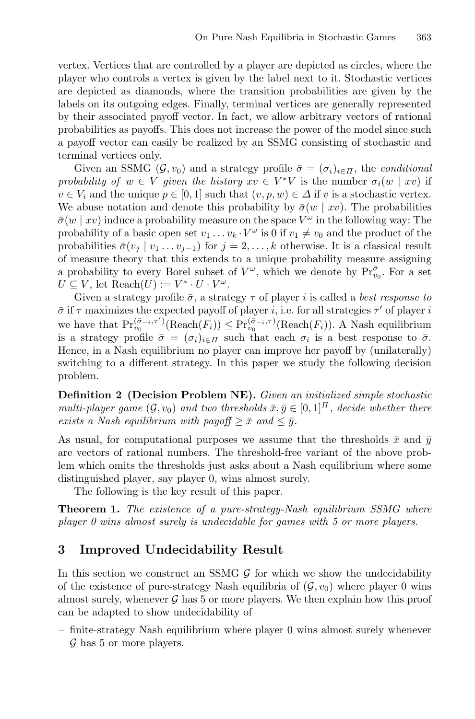vertex. Vertices that are controlled by a player are depicted as circles, where the player who controls a vertex is given by the label next to it. Stochastic vertices are depicted as diamonds, where the transition probabilities are given by the labels on its outgoing edges. Finally, terminal vertices are generally represented by their associated payoff vector. In fact, we allow arbitrary vectors of rational probabilities as payoffs. This does not increase the power of the model since such a payoff vector can easily be realized by an SSMG consisting of stochastic and terminal vertices only.

Given an SSMG  $(\mathcal{G}, v_0)$  and a strategy profile  $\bar{\sigma} = (\sigma_i)_{i \in \Pi}$ , the *conditional probability of*  $w \in V$  *given the history*  $xv \in V^*V$  is the number  $\sigma_i(w \mid xv)$  if  $v \in V_i$  and the unique  $p \in [0, 1]$  such that  $(v, p, w) \in \Delta$  if v is a stochastic vertex. We abuse notation and denote this probability by  $\bar{\sigma}(w \mid xv)$ . The probabilities  $\bar{\sigma}(w \mid xv)$  induce a probability measure on the space  $V^{\omega}$  in the following way: The probability of a basic open set  $v_1 \dots v_k \cdot V^\omega$  is 0 if  $v_1 \neq v_0$  and the product of the probabilities  $\bar{\sigma}(v_j \mid v_1 \ldots v_{j-1})$  for  $j = 2, \ldots, k$  otherwise. It is a classical result of measure theory that this extends to a unique probability measure assigning a probability to every Borel subset of  $V^{\omega}$ , which we denote by  $\Pr_{v_0}^{\bar{\sigma}}$ . For a set  $U \subseteq V$ , let  $\text{Reach}(U) := V^* \cdot U \cdot V^\omega$ .

Given a strategy profile  $\bar{\sigma}$ , a strategy  $\tau$  of player i is called a *best response to*  $\bar{\sigma}$  if  $\tau$  maximizes the expected payoff of player i, i.e. for all strategies  $\tau'$  of player i we have that  $\Pr_{v_{0}^{(n)}}^{(\bar{\sigma}_{-i},\tau)}(\text{Reach}(F_i)) \leq \Pr_{v_{0}^{(n)}}^{(\bar{\sigma}_{-i},\tau)}(\text{Reach}(F_i)).$  A Nash equilibrium is a strategy profile  $\bar{\sigma} = (\sigma_i)_{i \in \Pi}$  such that each  $\sigma_i$  is a best response to  $\bar{\sigma}$ . Hence, in a Nash equilibrium no player can improve her payoff by (unilaterally) switching to a different strategy. In this paper we study the following decision problem.

**Definition 2 (Decision Problem NE).** *Given an initialized simple stochastic multi-player game*  $(\mathcal{G}, v_0)$  *and two thresholds*  $\bar{x}, \bar{y} \in [0, 1]^{\Pi}$ , *decide whether there exists a Nash equilibrium with payoff*  $\geq \bar{x}$  *and*  $\leq \bar{y}$ *.* 

As usual, for computational purposes we assume that the thresholds  $\bar{x}$  and  $\bar{y}$ are vectors of rational numbers. The threshold-free variant of the above problem which omits the thresholds just asks about a Nash equilibrium where some distinguished player, say player 0, wins almost surely.

<span id="page-4-0"></span>The following is the key result of this paper.

**Theorem 1.** *The existence of a pure-strategy-Nash equilibrium SSMG where player 0 wins almost surely is undecidable for games with 5 or more players.*

### **3 Improved Undecidability Result**

In this section we construct an SSMG  $G$  for which we show the undecidability of the existence of pure-strategy Nash equilibria of  $(\mathcal{G}, v_0)$  where player 0 wins almost surely, whenever  $\mathcal G$  has 5 or more players. We then explain how this proof can be adapted to show undecidability of

– finite-strategy Nash equilibrium where player 0 wins almost surely whenever  $\mathcal G$  has 5 or more players.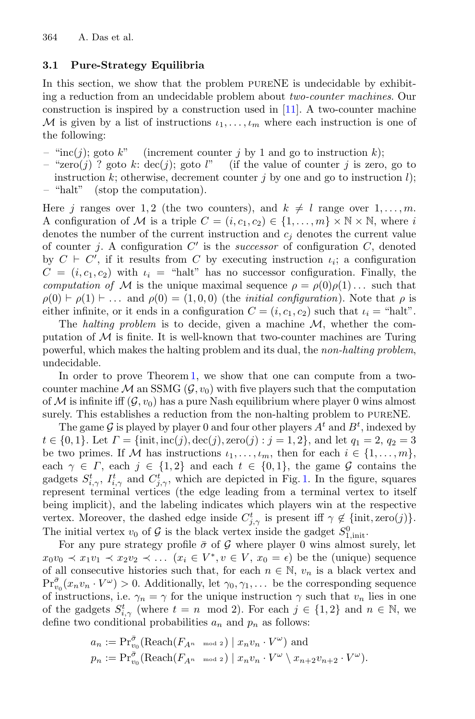#### $3.1$ **3.1 Pure-Strategy Equilibria**

In this section, we show that the problem PURENE is undecidable by exhibiting a reduction from an undecidable problem about *two-counter machines*. Our construction is inspired by a construction used in [\[11](#page-12-2)]. A two-counter machine M is given by a list of instructions  $\iota_1,\ldots,\iota_m$  where each instruction is one of the following:

- "inc(j); goto k" (increment counter j by 1 and go to instruction k);
- "zero(j)? goto k:  $\text{dec}(j)$ ; goto l" (if the value of counter j is zero, go to instruction k; otherwise, decrement counter j by one and go to instruction  $l$ ; – "halt" (stop the computation).

Here j ranges over 1, 2 (the two counters), and  $k \neq l$  range over  $1,\ldots,m$ . A configuration of M is a triple  $C = (i, c_1, c_2) \in \{1, \ldots, m\} \times \mathbb{N} \times \mathbb{N}$ , where i denotes the number of the current instruction and  $c_i$  denotes the current value of counter j. A configuration  $C'$  is the *successor* of configuration  $C$ , denoted by  $C \vdash C'$ , if it results from C by executing instruction  $\iota_i$ ; a configuration  $C = (i, c_1, c_2)$  with  $\iota_i =$  "halt" has no successor configuration. Finally, the *computation of* M is the unique maximal sequence  $\rho = \rho(0)\rho(1) \dots$  such that  $\rho(0) \vdash \rho(1) \vdash \ldots$  and  $\rho(0) = (1, 0, 0)$  (the *initial configuration*). Note that  $\rho$  is either infinite, or it ends in a configuration  $C = (i, c_1, c_2)$  such that  $\iota_i =$  "halt".

The *halting problem* is to decide, given a machine  $M$ , whether the computation of  $M$  is finite. It is well-known that two-counter machines are Turing powerful, which makes the halting problem and its dual, the *non-halting problem*, undecidable.

In order to prove Theorem [1,](#page-4-0) we show that one can compute from a twocounter machine M an SSMG  $(G, v_0)$  with five players such that the computation of M is infinite iff  $(G, v_0)$  has a pure Nash equilibrium where player 0 wins almost surely. This establishes a reduction from the non-halting problem to PURENE.

The game G is played by player 0 and four other players  $A^t$  and  $B^t$ , indexed by  $t \in \{0, 1\}$ . Let  $\Gamma = \{\text{init}, \text{inc}(j), \text{dec}(j), \text{zero}(j) : j = 1, 2\}$ , and let  $q_1 = 2$ ,  $q_2 = 3$ be two primes. If M has instructions  $i_1, \ldots, i_m$ , then for each  $i \in \{1, \ldots, m\}$ , each  $\gamma \in \Gamma$ , each  $j \in \{1,2\}$  and each  $t \in \{0,1\}$ , the game G contains the gadgets  $S_{i,\gamma}^t$ ,  $I_{i,\gamma}^t$  and  $C_{j,\gamma}^t$ , which are depicted in Fig. [1.](#page-6-0) In the figure, squares represent terminal vertices (the edge leading from a terminal vertex to itself being implicit), and the labeling indicates which players win at the respective vertex. Moreover, the dashed edge inside  $C_{j,\gamma}^t$  is present iff  $\gamma \notin \{\text{init}, \text{zero}(j)\}.$ The initial vertex  $v_0$  of G is the black vertex inside the gadget  $S_{1, \text{init}}^0$ .

For any pure strategy profile  $\bar{\sigma}$  of G where player 0 wins almost surely, let  $x_0v_0 \prec x_1v_1 \prec x_2v_2 \prec \ldots$   $(x_i \in V^*, v \in V, x_0 = \epsilon)$  be the (unique) sequence of all consecutive histories such that, for each  $n \in \mathbb{N}$ ,  $v_n$  is a black vertex and  $\Pr_{v_0}^{\bar{\sigma}}(x_n v_n \cdot V^{\omega}) > 0$ . Additionally, let  $\gamma_0, \gamma_1, \dots$  be the corresponding sequence of instructions, i.e.  $\gamma_n = \gamma$  for the unique instruction  $\gamma$  such that  $v_n$  lies in one of the gadgets  $S_{i,\gamma}^t$  (where  $t = n \mod 2$ ). For each  $j \in \{1,2\}$  and  $n \in \mathbb{N}$ , we define two conditional probabilities  $a_n$  and  $p_n$  as follows:

$$
a_n := \Pr_{v_0}^{\overline{\sigma}}(\text{Reach}(F_{A^n \mod 2}) \mid x_n v_n \cdot V^{\omega}) \text{ and}
$$
  
\n
$$
p_n := \Pr_{v_0}^{\overline{\sigma}}(\text{Reach}(F_{A^n \mod 2}) \mid x_n v_n \cdot V^{\omega} \setminus x_{n+2} v_{n+2} \cdot V^{\omega}).
$$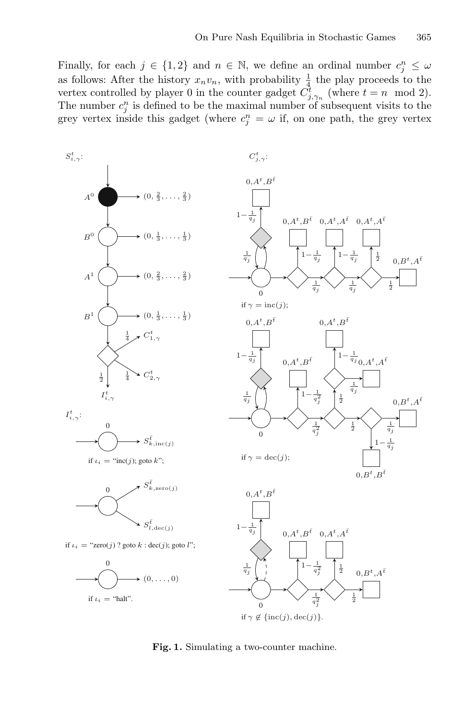Finally, for each  $j \in \{1,2\}$  and  $n \in \mathbb{N}$ , we define an ordinal number  $c_j^n \leq \omega$ as follows: After the history  $x_n v_n$ , with probability  $\frac{1}{4}$  the play proceeds to the vertex controlled by player 0 in the counter gadget  $C^t_{j,\gamma_n}$  (where  $t = n \mod 2$ ). The number  $c_j^n$  is defined to be the maximal number of subsequent visits to the grey vertex inside this gadget (where  $c_j^n = \omega$  if, on one path, the grey vertex



<span id="page-6-0"></span>**Fig. 1.** Simulating a two-counter machine.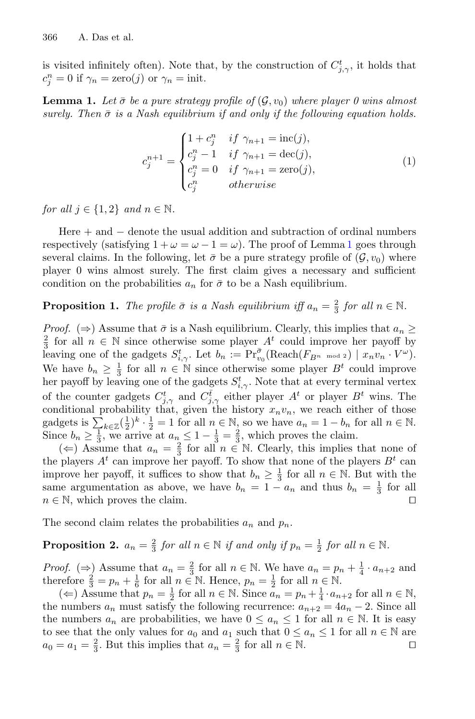<span id="page-7-0"></span>is visited infinitely often). Note that, by the construction of  $C_{j,\gamma}^t$ , it holds that  $c_j^n = 0$  if  $\gamma_n = \text{zero}(j)$  or  $\gamma_n = \text{init.}$ 

**Lemma 1.** Let  $\bar{\sigma}$  be a pure strategy profile of  $(\mathcal{G}, v_0)$  where player 0 wins almost  $surely.$  Then  $\bar{\sigma}$  *is a Nash equilibrium if and only if the following equation holds.* 

<span id="page-7-1"></span>
$$
c_j^{n+1} = \begin{cases} 1 + c_j^n & if \ \gamma_{n+1} = \text{inc}(j), \\ c_j^n - 1 & if \ \gamma_{n+1} = \text{dec}(j), \\ c_j^n = 0 & if \ \gamma_{n+1} = \text{zero}(j), \\ c_j^n & otherwise \end{cases} \tag{1}
$$

*for all*  $j \in \{1, 2\}$  *and*  $n \in \mathbb{N}$ *.* 

Here  $+$  and  $-$  denote the usual addition and subtraction of ordinal numbers respectively (satisfying  $1 + \omega = \omega - 1 = \omega$  $1 + \omega = \omega - 1 = \omega$ ). The proof of Lemma 1 goes through several claims. In the following, let  $\bar{\sigma}$  be a pure strategy profile of  $(\mathcal{G}, v_0)$  where player 0 wins almost surely. The first claim gives a necessary and sufficient condition on the probabilities  $a_n$  for  $\bar{\sigma}$  to be a Nash equilibrium.

## <span id="page-7-2"></span>**Proposition 1.** *The profile*  $\bar{\sigma}$  *is a Nash equilibrium iff*  $a_n = \frac{2}{3}$  *for all*  $n \in \mathbb{N}$ *.*

*Proof.* ( $\Rightarrow$ ) Assume that  $\bar{\sigma}$  is a Nash equilibrium. Clearly, this implies that  $a_n \geq$  $\frac{2}{3}$  for all  $n \in \mathbb{N}$  since otherwise some player  $A^t$  could improve her payoff by leaving one of the gadgets  $S_{i,\gamma}^t$ . Let  $b_n := \Pr_{v_0}^{\bar{\sigma}}(\text{Reach}(F_{B^{n \mod 2}}) \mid x_n v_n \cdot V^{\omega})$ . We have  $b_n \geq \frac{1}{3}$  for all  $n \in \mathbb{N}$  since otherwise some player  $B^t$  could improve her payoff by leaving one of the gadgets  $S_{i,\gamma}^t$ . Note that at every terminal vertex of the counter gadgets  $C_{j,\gamma}^t$  and  $C_{j,\gamma}^{\bar{t}}$  either player  $A^t$  or player  $B^t$  wins. The conditional probability that, given the history  $x_n v_n$ , we reach either of those gadgets is  $\sum_{k\in\mathbb{Z}}(\frac{1}{2})^k\cdot\frac{1}{2}=1$  for all  $n\in\mathbb{N}$ , so we have  $a_n=1-b_n$  for all  $n\in\mathbb{N}$ . Since  $b_n \geq \frac{1}{3}$ , we arrive at  $a_n \leq 1 - \frac{1}{3} = \frac{2}{3}$ , which proves the claim.

(∈) Assume that  $a_n = \frac{2}{3}$  for all  $n \in \mathbb{N}$ . Clearly, this implies that none of the players  $A<sup>t</sup>$  can improve her payoff. To show that none of the players  $B<sup>t</sup>$  can improve her payoff, it suffices to show that  $b_n \geq \frac{1}{3}$  for all  $n \in \mathbb{N}$ . But with the same argumentation as above, we have  $b_n = 1 - a_n$  and thus  $b_n = \frac{1}{3}$  for all  $n \in \mathbb{N}$ , which proves the claim.

<span id="page-7-3"></span>The second claim relates the probabilities  $a_n$  and  $p_n$ .

# **Proposition 2.**  $a_n = \frac{2}{3}$  *for all*  $n \in \mathbb{N}$  *if and only if*  $p_n = \frac{1}{2}$  *for all*  $n \in \mathbb{N}$ *.*

*Proof.*  $(\Rightarrow)$  Assume that  $a_n = \frac{2}{3}$  for all  $n \in \mathbb{N}$ . We have  $a_n = p_n + \frac{1}{4} \cdot a_{n+2}$  and therefore  $\frac{2}{3} = p_n + \frac{1}{6}$  for all  $n \in \mathbb{N}$ . Hence,  $p_n = \frac{1}{2}$  for all  $n \in \mathbb{N}$ .

(  $\Leftarrow$ ) Assume that  $p_n = \frac{1}{2}$  for all  $n \in \mathbb{N}$ . Since  $a_n = p_n + \frac{1}{4} \cdot a_{n+2}$  for all  $n \in \mathbb{N}$ , the numbers  $a_n$  must satisfy the following recurrence:  $a_{n+2} = 4a_n - 2$ . Since all the numbers  $a_n$  are probabilities, we have  $0 \le a_n \le 1$  for all  $n \in \mathbb{N}$ . It is easy to see that the only values for  $a_0$  and  $a_1$  such that  $0 \le a_n \le 1$  for all  $n \in \mathbb{N}$  are  $a_0 = a_1 = \frac{2}{5}$ . But this implies that  $a_n = \frac{2}{5}$  for all  $n \in \mathbb{N}$ .  $a_0 = a_1 = \frac{2}{3}$ . But this implies that  $a_n = \frac{2}{3}$  for all  $n \in \mathbb{N}$ .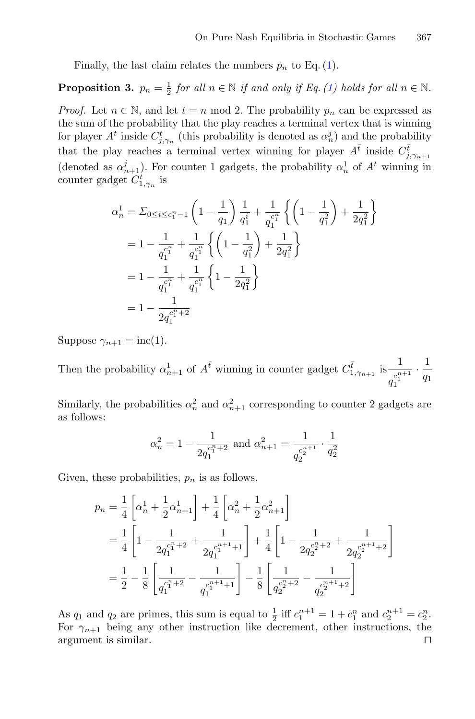Finally, the last claim relates the numbers  $p_n$  to Eq. [\(1\)](#page-7-1).

## <span id="page-8-0"></span>**Proposition 3.**  $p_n = \frac{1}{2}$  *for all*  $n \in \mathbb{N}$  *if and only if Eq. [\(1\)](#page-7-1) holds for all*  $n \in \mathbb{N}$ *.*

*Proof.* Let  $n \in \mathbb{N}$ , and let  $t = n \mod 2$ . The probability  $p_n$  can be expressed as the sum of the probability that the play reaches a terminal vertex that is winning for player  $A^t$  inside  $C^t_{j,\gamma_n}$  (this probability is denoted as  $\alpha^j_n$ ) and the probability that the play reaches a terminal vertex winning for player  $A^{\bar{t}}$  inside  $C^{\bar{t}}_{j,\gamma_{n+1}}$ (denoted as  $\alpha_{n+1}^j$ ). For counter 1 gadgets, the probability  $\alpha_n^1$  of  $A^t$  winning in counter gadget  $C_{1,\gamma_n}^t$  is

$$
\alpha_n^1 = \sum_{0 \le i \le c_1^n - 1} \left( 1 - \frac{1}{q_1} \right) \frac{1}{q_1^i} + \frac{1}{q_1^{c_1^n}} \left\{ \left( 1 - \frac{1}{q_1^2} \right) + \frac{1}{2q_1^2} \right\}
$$
  
=  $1 - \frac{1}{q_1^{c_1^n}} + \frac{1}{q_1^{c_1^n}} \left\{ \left( 1 - \frac{1}{q_1^2} \right) + \frac{1}{2q_1^2} \right\}$   
=  $1 - \frac{1}{q_1^{c_1^n}} + \frac{1}{q_1^{c_1^n}} \left\{ 1 - \frac{1}{2q_1^2} \right\}$   
=  $1 - \frac{1}{2q_1^{c_1^n + 2}}$ 

Suppose  $\gamma_{n+1} = \text{inc}(1)$ .

Then the probability  $\alpha_{n+1}^1$  of  $A^{\bar{t}}$  winning in counter gadget  $C^{\bar{t}}_{1,\gamma_{n+1}}$  is  $\frac{1}{c^n}$  $q_1^{c_1^{n+1}}$  $\cdot \frac{1}{q_1}$ 

Similarly, the probabilities  $\alpha_n^2$  and  $\alpha_{n+1}^2$  corresponding to counter 2 gadgets are as follows:

$$
\alpha_n^2 = 1 - \frac{1}{2q_1^{c_1^{n}+2}}
$$
 and  $\alpha_{n+1}^2 = \frac{1}{q_2^{c_2^{n+1}}} \cdot \frac{1}{q_2^2}$ 

Given, these probabilities,  $p_n$  is as follows.

$$
p_n = \frac{1}{4} \left[ \alpha_n^1 + \frac{1}{2} \alpha_{n+1}^1 \right] + \frac{1}{4} \left[ \alpha_n^2 + \frac{1}{2} \alpha_{n+1}^2 \right]
$$
  
=  $\frac{1}{4} \left[ 1 - \frac{1}{2q_1^{c_1^{n+2}}} + \frac{1}{2q_1^{c_1^{n+1}+1}} \right] + \frac{1}{4} \left[ 1 - \frac{1}{2q_2^{c_2^{n+2}}} + \frac{1}{2q_2^{c_2^{n+1}+2}} \right]$   
=  $\frac{1}{2} - \frac{1}{8} \left[ \frac{1}{q_1^{c_1^{n+2}}} - \frac{1}{q_1^{c_1^{n+1}+1}} \right] - \frac{1}{8} \left[ \frac{1}{q_2^{c_2^{n+2}}} - \frac{1}{q_2^{c_2^{n+1}+2}} \right]$ 

As  $q_1$  and  $q_2$  are primes, this sum is equal to  $\frac{1}{2}$  iff  $c_1^{n+1} = 1 + c_1^n$  and  $c_2^{n+1} = c_2^n$ . For  $\gamma_{n+1}$  being any other instruction like decrement, other instructions, the argument is similar.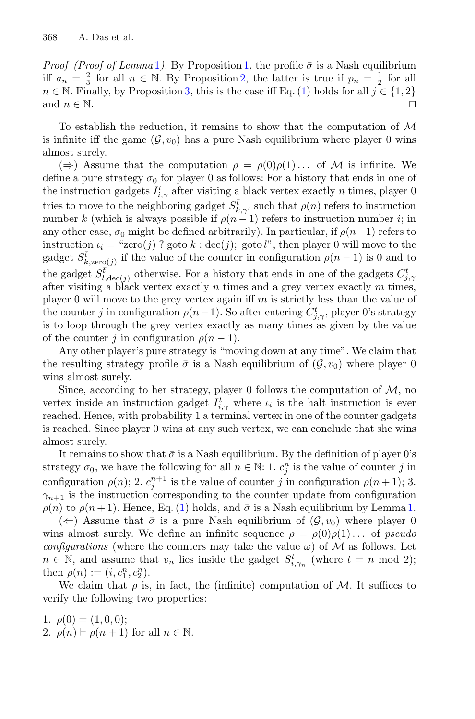*Proof (Proof of Lemma* [1](#page-7-0)). By Proposition [1,](#page-7-2) the profile  $\bar{\sigma}$  is a Nash equilibrium iff  $a_n = \frac{2}{3}$  for all  $n \in \mathbb{N}$ . By Proposition [2,](#page-7-3) the latter is true if  $p_n = \frac{1}{2}$  for all  $n \in \mathbb{N}$ . Finally, by Proposition [3,](#page-8-0) this is the case iff Eq. [\(1\)](#page-7-1) holds for all  $j \in \{1, 2\}$  and  $n \in \mathbb{N}$ . □ and  $n \in \mathbb{N}$ .

To establish the reduction, it remains to show that the computation of  $\mathcal M$ is infinite iff the game  $(G, v_0)$  has a pure Nash equilibrium where player 0 wins almost surely.

 $(\Rightarrow)$  Assume that the computation  $\rho = \rho(0)\rho(1) \dots$  of M is infinite. We define a pure strategy  $\sigma_0$  for player 0 as follows: For a history that ends in one of the instruction gadgets  $I_{i,\gamma}^t$  after visiting a black vertex exactly n times, player 0 tries to move to the neighboring gadget  $S_{k,\gamma'}^{\bar{t}}$  such that  $\rho(n)$  refers to instruction number k (which is always possible if  $\rho(n-1)$  refers to instruction number i; in any other case,  $\sigma_0$  might be defined arbitrarily). In particular, if  $\rho(n-1)$  refers to instruction  $\iota_i = "zero(j)$ ? goto  $k : dec(j)$ ; goto l", then player 0 will move to the gadget  $S_{k,\text{zero}(j)}^{\bar{t}}$  if the value of the counter in configuration  $\rho(n-1)$  is 0 and to the gadget  $S_{l, \text{dec}(j)}^{\bar{t}}$  otherwise. For a history that ends in one of the gadgets  $C_{j, \gamma}^t$ after visiting a black vertex exactly n times and a grey vertex exactly  $m$  times, player 0 will move to the grey vertex again if  $m$  is strictly less than the value of the counter j in configuration  $\rho(n-1)$ . So after entering  $C_{j,\gamma}^{t}$ , player 0's strategy is to loop through the grey vertex exactly as many times as given by the value of the counter j in configuration  $\rho(n-1)$ .

Any other player's pure strategy is "moving down at any time". We claim that the resulting strategy profile  $\bar{\sigma}$  is a Nash equilibrium of  $(\mathcal{G}, v_0)$  where player 0 wins almost surely.

Since, according to her strategy, player 0 follows the computation of  $M$ , no vertex inside an instruction gadget  $I_{i,\gamma}^t$  where  $\iota_i$  is the halt instruction is ever reached. Hence, with probability 1 a terminal vertex in one of the counter gadgets is reached. Since player 0 wins at any such vertex, we can conclude that she wins almost surely.

It remains to show that  $\bar{\sigma}$  is a Nash equilibrium. By the definition of player 0's strategy  $\sigma_0$ , we have the following for all  $n \in \mathbb{N}$ : 1.  $c_j^n$  is the value of counter j in configuration  $\rho(n)$ ; 2.  $c_j^{n+1}$  is the value of counter j in configuration  $\rho(n+1)$ ; 3.  $\gamma_{n+1}$  is the instruction corresponding to the counter update from configuration  $\rho(n)$  to  $\rho(n+1)$ . Hence, Eq. [\(1\)](#page-7-1) holds, and  $\bar{\sigma}$  is a Nash equilibrium by Lemma [1.](#page-7-0)

 $(\Leftarrow)$  Assume that  $\bar{\sigma}$  is a pure Nash equilibrium of  $(\mathcal{G}, v_0)$  where player 0 wins almost surely. We define an infinite sequence  $\rho = \rho(0)\rho(1) \dots$  of *pseudo configurations* (where the counters may take the value  $\omega$ ) of M as follows. Let  $n \in \mathbb{N}$ , and assume that  $v_n$  lies inside the gadget  $S^t_{i,\gamma_n}$  (where  $t = n \mod 2$ ); then  $\rho(n) := (i, c_1^n, c_2^n)$ .

We claim that  $\rho$  is, in fact, the (infinite) computation of M. It suffices to verify the following two properties:

1.  $\rho(0) = (1, 0, 0)$ ; 2.  $\rho(n) \vdash \rho(n+1)$  for all  $n \in \mathbb{N}$ .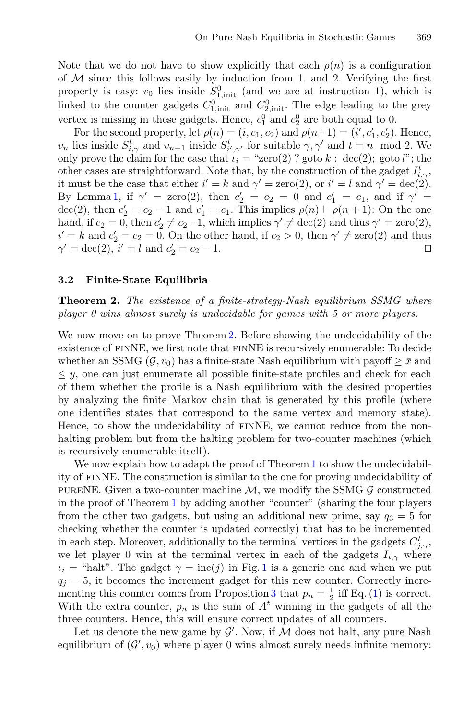Note that we do not have to show explicitly that each  $\rho(n)$  is a configuration of  $M$  since this follows easily by induction from 1. and 2. Verifying the first property is easy:  $v_0$  lies inside  $S_{1,init}^0$  (and we are at instruction 1), which is linked to the counter gadgets  $C_{1,init}^0$  and  $C_{2,init}^0$ . The edge leading to the grey vertex is missing in these gadgets. Hence,  $c_1^0$  and  $c_2^0$  are both equal to 0.

For the second property, let  $\rho(n) = (i, c_1, c_2)$  and  $\rho(n+1) = (i', c'_1, c'_2)$ . Hence,  $v_n$  lies inside  $S_{i,\gamma}^t$  and  $v_{n+1}$  inside  $S_{i',\gamma'}^{\bar{t}}$  for suitable  $\gamma,\gamma'$  and  $t=n \mod 2$ . We only prove the claim for the case that  $i_i = "zero(2)$ ? goto  $k : dec(2)$ ; goto *l*"; the other cases are straightforward. Note that, by the construction of the gadget  $I_{i,\gamma}^t$ , it must be the case that either  $i' = k$  and  $\gamma' = \text{zero}(2)$ , or  $i' = l$  and  $\gamma' = \text{dec}(2)$ . By Lemma [1,](#page-7-0) if  $\gamma' = \text{zero}(2)$ , then  $c_2' = c_2 = 0$  and  $c_1' = c_1$ , and if  $\gamma' =$  $\text{dec}(2)$ , then  $c'_2 = c_2 - 1$  and  $c'_1 = c_1$ . This implies  $\rho(n) \vdash \rho(n+1)$ : On the one hand, if  $c_2 = 0$ , then  $c'_2 \neq c_2-1$ , which implies  $\gamma' \neq \text{dec}(2)$  and thus  $\gamma' = \text{zero}(2)$ ,  $i' = k$  and  $c'_2 = c_2 = 0$ . On the other hand, if  $c_2 > 0$ , then  $\gamma' \neq \text{zero}(2)$  and thus  $\gamma' = \text{dec}(2), i' = l \text{ and } c'_2 = c_2 - 1.$ 

#### <span id="page-10-0"></span> $3.2$ Finite-State Equilibria **3.2 Finite-State Equilibria**

**Theorem 2.** *The existence of a finite-strategy-Nash equilibrium SSMG where player 0 wins almost surely is undecidable for games with 5 or more players.*

We now move on to prove Theorem [2.](#page-10-0) Before showing the undecidability of the existence of finNE, we first note that finNE is recursively enumerable: To decide whether an SSMG ( $\mathcal{G}, v_0$ ) has a finite-state Nash equilibrium with payoff  $\geq \bar{x}$  and  $\leq \bar{y}$ , one can just enumerate all possible finite-state profiles and check for each of them whether the profile is a Nash equilibrium with the desired properties by analyzing the finite Markov chain that is generated by this profile (where one identifies states that correspond to the same vertex and memory state). Hence, to show the undecidability of FINNE, we cannot reduce from the nonhalting problem but from the halting problem for two-counter machines (which is recursively enumerable itself).

We now explain how to adapt the proof of Theorem [1](#page-4-0) to show the undecidability of finNE. The construction is similar to the one for proving undecidability of PURENE. Given a two-counter machine  $M$ , we modify the SSMG G constructed in the proof of Theorem [1](#page-4-0) by adding another "counter" (sharing the four players from the other two gadgets, but using an additional new prime, say  $q_3 = 5$  for checking whether the counter is updated correctly) that has to be incremented in each step. Moreover, additionally to the terminal vertices in the gadgets  $C^t_{j,\gamma}$ , we let player 0 win at the terminal vertex in each of the gadgets  $I_{i,\gamma}$  where  $\iota_i$  = "halt". The gadget  $\gamma = \text{inc}(j)$  in Fig. [1](#page-6-0) is a generic one and when we put  $q_i = 5$ , it becomes the increment gadget for this new counter. Correctly incre-menting this counter comes from Proposition [3](#page-8-0) that  $p_n = \frac{1}{2}$  iff Eq. [\(1\)](#page-7-1) is correct. With the extra counter,  $p_n$  is the sum of  $A<sup>t</sup>$  winning in the gadgets of all the three counters. Hence, this will ensure correct updates of all counters.

Let us denote the new game by  $\mathcal{G}'$ . Now, if  $\mathcal M$  does not halt, any pure Nash equilibrium of  $(G', v_0)$  where player 0 wins almost surely needs infinite memory: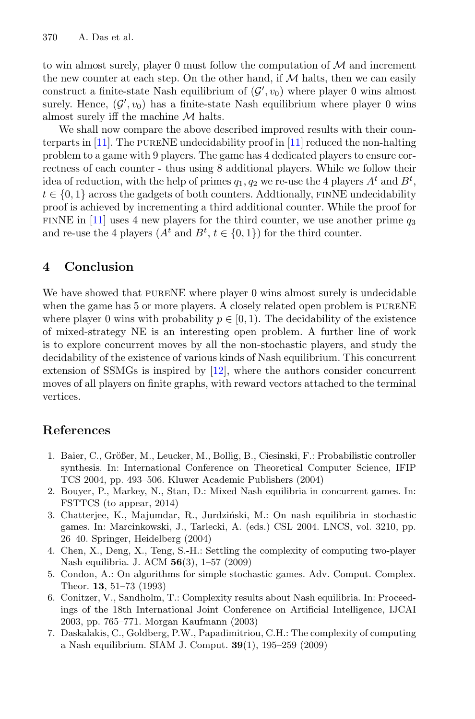to win almost surely, player 0 must follow the computation of  $\mathcal M$  and increment the new counter at each step. On the other hand, if  $\mathcal M$  halts, then we can easily construct a finite-state Nash equilibrium of  $(G', v_0)$  where player 0 wins almost surely. Hence,  $(\mathcal{G}', v_0)$  has a finite-state Nash equilibrium where player 0 wins almost surely iff the machine  $M$  halts.

We shall now compare the above described improved results with their counterparts in [\[11](#page-12-2)]. The pureNE undecidability proof in [\[11](#page-12-2)] reduced the non-halting problem to a game with 9 players. The game has 4 dedicated players to ensure correctness of each counter - thus using 8 additional players. While we follow their idea of reduction, with the help of primes  $q_1, q_2$  we re-use the 4 players  $A<sup>t</sup>$  and  $B<sup>t</sup>$ ,  $t \in \{0,1\}$  across the gadgets of both counters. Addtionally, FINNE undecidability proof is achieved by incrementing a third additional counter. While the proof for FINNE in [\[11\]](#page-12-2) uses 4 new players for the third counter, we use another prime  $q_3$ and re-use the 4 players  $(A<sup>t</sup>$  and  $B<sup>t</sup>$ ,  $t \in \{0,1\})$  for the third counter.

### **4 Conclusion**

We have showed that PURENE where player 0 wins almost surely is undecidable when the game has 5 or more players. A closely related open problem is PURENE where player 0 wins with probability  $p \in [0, 1)$ . The decidability of the existence of mixed-strategy NE is an interesting open problem. A further line of work is to explore concurrent moves by all the non-stochastic players, and study the decidability of the existence of various kinds of Nash equilibrium. This concurrent extension of SSMGs is inspired by [\[12](#page-12-4)], where the authors consider concurrent moves of all players on finite graphs, with reward vectors attached to the terminal vertices.

## <span id="page-11-0"></span>**References**

- 1. Baier, C., Größer, M., Leucker, M., Bollig, B., Ciesinski, F.: Probabilistic controller synthesis. In: International Conference on Theoretical Computer Science, IFIP TCS 2004, pp. 493–506. Kluwer Academic Publishers (2004)
- <span id="page-11-5"></span>2. Bouyer, P., Markey, N., Stan, D.: Mixed Nash equilibria in concurrent games. In: FSTTCS (to appear, 2014)
- <span id="page-11-1"></span>3. Chatterjee, K., Majumdar, R., Jurdziński, M.: On nash equilibria in stochastic games. In: Marcinkowski, J., Tarlecki, A. (eds.) CSL 2004. LNCS, vol. 3210, pp. 26–40. Springer, Heidelberg (2004)
- <span id="page-11-2"></span>4. Chen, X., Deng, X., Teng, S.-H.: Settling the complexity of computing two-player Nash equilibria. J. ACM **56**(3), 1–57 (2009)
- <span id="page-11-6"></span>5. Condon, A.: On algorithms for simple stochastic games. Adv. Comput. Complex. Theor. **13**, 51–73 (1993)
- <span id="page-11-4"></span>6. Conitzer, V., Sandholm, T.: Complexity results about Nash equilibria. In: Proceedings of the 18th International Joint Conference on Artificial Intelligence, IJCAI 2003, pp. 765–771. Morgan Kaufmann (2003)
- <span id="page-11-3"></span>7. Daskalakis, C., Goldberg, P.W., Papadimitriou, C.H.: The complexity of computing a Nash equilibrium. SIAM J. Comput. **39**(1), 195–259 (2009)